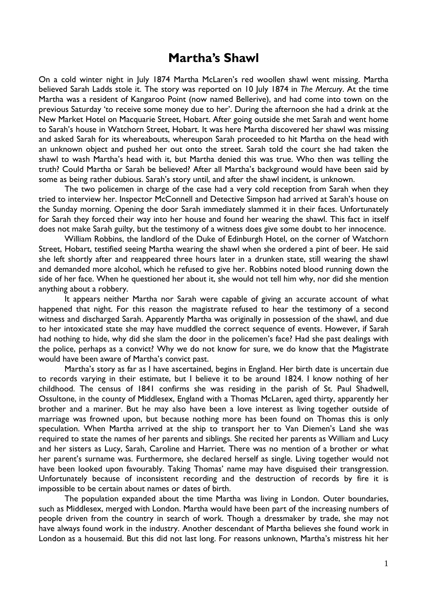## **Martha's Shawl**

On a cold winter night in July 1874 Martha McLaren's red woollen shawl went missing. Martha believed Sarah Ladds stole it. The story was reported on 10 July 1874 in *The Mercury*. At the time Martha was a resident of Kangaroo Point (now named Bellerive), and had come into town on the previous Saturday 'to receive some money due to her'. During the afternoon she had a drink at the New Market Hotel on Macquarie Street, Hobart. After going outside she met Sarah and went home to Sarah's house in Watchorn Street, Hobart. It was here Martha discovered her shawl was missing and asked Sarah for its whereabouts, whereupon Sarah proceeded to hit Martha on the head with an unknown object and pushed her out onto the street. Sarah told the court she had taken the shawl to wash Martha's head with it, but Martha denied this was true. Who then was telling the truth? Could Martha or Sarah be believed? After all Martha's background would have been said by some as being rather dubious. Sarah's story until, and after the shawl incident, is unknown.

The two policemen in charge of the case had a very cold reception from Sarah when they tried to interview her. Inspector McConnell and Detective Simpson had arrived at Sarah's house on the Sunday morning. Opening the door Sarah immediately slammed it in their faces. Unfortunately for Sarah they forced their way into her house and found her wearing the shawl. This fact in itself does not make Sarah guilty, but the testimony of a witness does give some doubt to her innocence.

 William Robbins, the landlord of the Duke of Edinburgh Hotel, on the corner of Watchorn Street, Hobart, testified seeing Martha wearing the shawl when she ordered a pint of beer. He said she left shortly after and reappeared three hours later in a drunken state, still wearing the shawl and demanded more alcohol, which he refused to give her. Robbins noted blood running down the side of her face. When he questioned her about it, she would not tell him why, nor did she mention anything about a robbery.

It appears neither Martha nor Sarah were capable of giving an accurate account of what happened that night. For this reason the magistrate refused to hear the testimony of a second witness and discharged Sarah. Apparently Martha was originally in possession of the shawl, and due to her intoxicated state she may have muddled the correct sequence of events. However, if Sarah had nothing to hide, why did she slam the door in the policemen's face? Had she past dealings with the police, perhaps as a convict? Why we do not know for sure, we do know that the Magistrate would have been aware of Martha's convict past.

Martha's story as far as I have ascertained, begins in England. Her birth date is uncertain due to records varying in their estimate, but I believe it to be around 1824. I know nothing of her childhood. The census of 1841 confirms she was residing in the parish of St. Paul Shadwell, Ossultone, in the county of Middlesex, England with a Thomas McLaren, aged thirty, apparently her brother and a mariner. But he may also have been a love interest as living together outside of marriage was frowned upon, but because nothing more has been found on Thomas this is only speculation. When Martha arrived at the ship to transport her to Van Diemen's Land she was required to state the names of her parents and siblings. She recited her parents as William and Lucy and her sisters as Lucy, Sarah, Caroline and Harriet. There was no mention of a brother or what her parent's surname was. Furthermore, she declared herself as single. Living together would not have been looked upon favourably. Taking Thomas' name may have disguised their transgression. Unfortunately because of inconsistent recording and the destruction of records by fire it is impossible to be certain about names or dates of birth.

 The population expanded about the time Martha was living in London. Outer boundaries, such as Middlesex, merged with London. Martha would have been part of the increasing numbers of people driven from the country in search of work. Though a dressmaker by trade, she may not have always found work in the industry. Another descendant of Martha believes she found work in London as a housemaid. But this did not last long. For reasons unknown, Martha's mistress hit her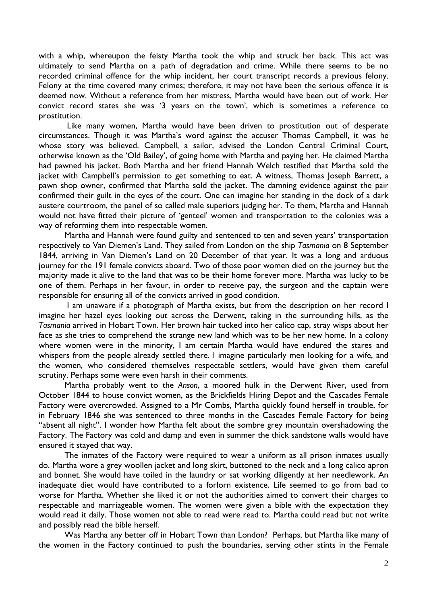with a whip, whereupon the feisty Martha took the whip and struck her back. This act was ultimately to send Martha on a path of degradation and crime. While there seems to be no recorded criminal offence for the whip incident, her court transcript records a previous felony. Felony at the time covered many crimes; therefore, it may not have been the serious offence it is deemed now. Without a reference from her mistress, Martha would have been out of work. Her convict record states she was '3 years on the town', which is sometimes a reference to prostitution.

 Like many women, Martha would have been driven to prostitution out of desperate circumstances. Though it was Martha's word against the accuser Thomas Campbell, it was he whose story was believed. Campbell, a sailor, advised the London Central Criminal Court, otherwise known as the 'Old Bailey', of going home with Martha and paying her. He claimed Martha had pawned his jacket. Both Martha and her friend Hannah Welch testified that Martha sold the jacket with Campbell's permission to get something to eat. A witness, Thomas Joseph Barrett, a pawn shop owner, confirmed that Martha sold the jacket. The damning evidence against the pair confirmed their guilt in the eyes of the court. One can imagine her standing in the dock of a dark austere courtroom, the panel of so called male superiors judging her. To them, Martha and Hannah would not have fitted their picture of 'genteel' women and transportation to the colonies was a way of reforming them into respectable women.

Martha and Hannah were found guilty and sentenced to ten and seven years' transportation respectively to Van Diemen's Land. They sailed from London on the ship *Tasmania* on 8 September 1844, arriving in Van Diemen's Land on 20 December of that year. It was a long and arduous journey for the 191 female convicts aboard. Two of those poor women died on the journey but the majority made it alive to the land that was to be their home forever more. Martha was lucky to be one of them. Perhaps in her favour, in order to receive pay, the surgeon and the captain were responsible for ensuring all of the convicts arrived in good condition.

 I am unaware if a photograph of Martha exists, but from the description on her record I imagine her hazel eyes looking out across the Derwent, taking in the surrounding hills, as the *Tasmania* arrived in Hobart Town. Her brown hair tucked into her calico cap, stray wisps about her face as she tries to comprehend the strange new land which was to be her new home. In a colony where women were in the minority, I am certain Martha would have endured the stares and whispers from the people already settled there. I imagine particularly men looking for a wife, and the women, who considered themselves respectable settlers, would have given them careful scrutiny. Perhaps some were even harsh in their comments.

Martha probably went to the *Anson*, a moored hulk in the Derwent River, used from October 1844 to house convict women, as the Brickfields Hiring Depot and the Cascades Female Factory were overcrowded. Assigned to a Mr Combs, Martha quickly found herself in trouble, for in February 1846 she was sentenced to three months in the Cascades Female Factory for being "absent all night". I wonder how Martha felt about the sombre grey mountain overshadowing the Factory. The Factory was cold and damp and even in summer the thick sandstone walls would have ensured it stayed that way.

The inmates of the Factory were required to wear a uniform as all prison inmates usually do. Martha wore a grey woollen jacket and long skirt, buttoned to the neck and a long calico apron and bonnet. She would have toiled in the laundry or sat working diligently at her needlework. An inadequate diet would have contributed to a forlorn existence. Life seemed to go from bad to worse for Martha. Whether she liked it or not the authorities aimed to convert their charges to respectable and marriageable women. The women were given a bible with the expectation they would read it daily. Those women not able to read were read to. Martha could read but not write and possibly read the bible herself.

Was Martha any better off in Hobart Town than London? Perhaps, but Martha like many of the women in the Factory continued to push the boundaries, serving other stints in the Female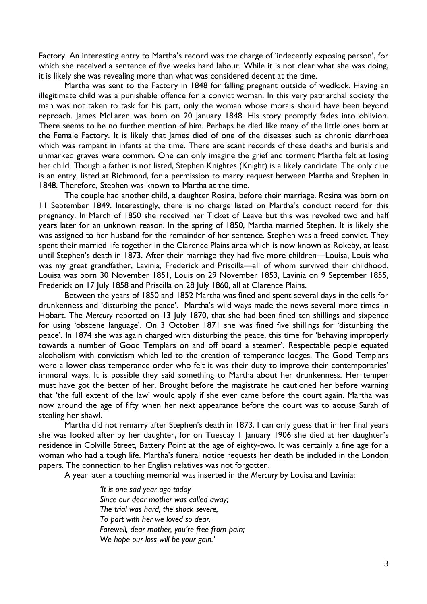Factory. An interesting entry to Martha's record was the charge of 'indecently exposing person', for which she received a sentence of five weeks hard labour. While it is not clear what she was doing, it is likely she was revealing more than what was considered decent at the time.

Martha was sent to the Factory in 1848 for falling pregnant outside of wedlock. Having an illegitimate child was a punishable offence for a convict woman. In this very patriarchal society the man was not taken to task for his part, only the woman whose morals should have been beyond reproach. James McLaren was born on 20 January 1848. His story promptly fades into oblivion. There seems to be no further mention of him. Perhaps he died like many of the little ones born at the Female Factory. It is likely that James died of one of the diseases such as chronic diarrhoea which was rampant in infants at the time. There are scant records of these deaths and burials and unmarked graves were common. One can only imagine the grief and torment Martha felt at losing her child. Though a father is not listed, Stephen Knightes (Knight) is a likely candidate. The only clue is an entry, listed at Richmond, for a permission to marry request between Martha and Stephen in 1848. Therefore, Stephen was known to Martha at the time.

The couple had another child, a daughter Rosina, before their marriage. Rosina was born on 11 September 1849. Interestingly, there is no charge listed on Martha's conduct record for this pregnancy. In March of 1850 she received her Ticket of Leave but this was revoked two and half years later for an unknown reason. In the spring of 1850, Martha married Stephen. It is likely she was assigned to her husband for the remainder of her sentence. Stephen was a freed convict. They spent their married life together in the Clarence Plains area which is now known as Rokeby, at least until Stephen's death in 1873. After their marriage they had five more children—Louisa, Louis who was my great grandfather, Lavinia, Frederick and Priscilla—all of whom survived their childhood. Louisa was born 30 November 1851, Louis on 29 November 1853, Lavinia on 9 September 1855, Frederick on 17 July 1858 and Priscilla on 28 July 1860, all at Clarence Plains.

Between the years of 1850 and 1852 Martha was fined and spent several days in the cells for drunkenness and 'disturbing the peace'. Martha's wild ways made the news several more times in Hobart. The *Mercury* reported on 13 July 1870, that she had been fined ten shillings and sixpence for using 'obscene language'. On 3 October 1871 she was fined five shillings for 'disturbing the peace'. In 1874 she was again charged with disturbing the peace, this time for 'behaving improperly towards a number of Good Templars on and off board a steamer'. Respectable people equated alcoholism with convictism which led to the creation of temperance lodges. The Good Templars were a lower class temperance order who felt it was their duty to improve their contemporaries' immoral ways. It is possible they said something to Martha about her drunkenness. Her temper must have got the better of her. Brought before the magistrate he cautioned her before warning that 'the full extent of the law' would apply if she ever came before the court again. Martha was now around the age of fifty when her next appearance before the court was to accuse Sarah of stealing her shawl.

Martha did not remarry after Stephen's death in 1873. I can only guess that in her final years she was looked after by her daughter, for on Tuesday 1 January 1906 she died at her daughter's residence in Colville Street, Battery Point at the age of eighty-two. It was certainly a fine age for a woman who had a tough life. Martha's funeral notice requests her death be included in the London papers. The connection to her English relatives was not forgotten.

A year later a touching memorial was inserted in the *Mercury* by Louisa and Lavinia:

*'It is one sad year ago today Since our dear mother was called away; The trial was hard, the shock severe, To part with her we loved so dear. Farewell, dear mother, you're free from pain; We hope our loss will be your gain.'*